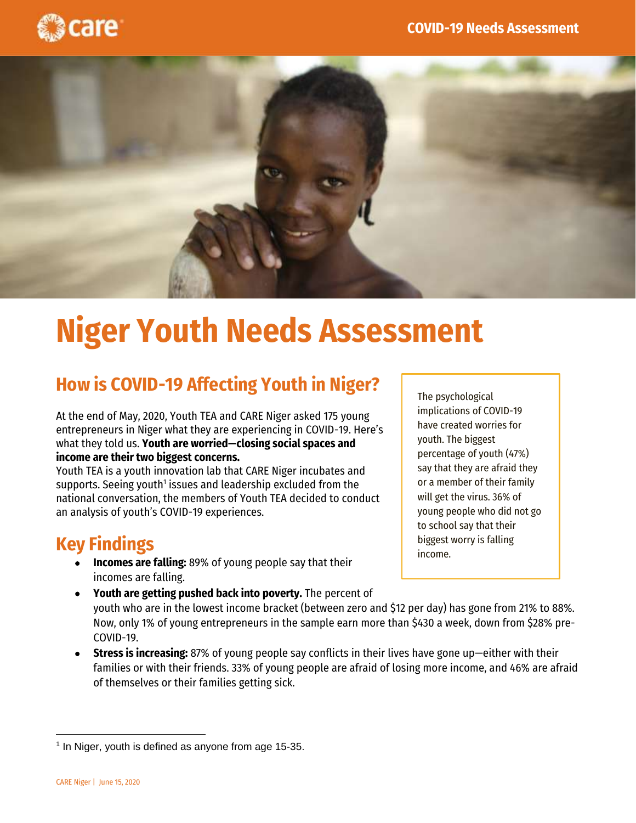



# **Niger Youth Needs Assessment**

### **How is COVID-19 Affecting Youth in Niger?**

At the end of May, 2020, Youth TEA and CARE Niger asked 175 young entrepreneurs in Niger what they are experiencing in COVID-19. Here's what they told us. **Youth are worried—closing social spaces and income are their two biggest concerns.**

Youth TEA is a youth innovation lab that CARE Niger incubates and  $supports$ . Seeing youth $^1$  issues and leadership excluded from the national conversation, the members of Youth TEA decided to conduct an analysis of youth's COVID-19 experiences.

### **Key Findings**

- **Incomes are falling:** 89% of young people say that their incomes are falling.
- **Youth are getting pushed back into poverty.** The percent of youth who are in the lowest income bracket (between zero and \$12 per day) has gone from 21% to 88%. Now, only 1% of young entrepreneurs in the sample earn more than \$430 a week, down from \$28% pre-COVID-19.
- **Stress is increasing:** 87% of young people say conflicts in their lives have gone up—either with their families or with their friends. 33% of young people are afraid of losing more income, and 46% are afraid of themselves or their families getting sick.

The psychological implications of COVID-19 have created worries for youth. The biggest percentage of youth (47%) say that they are afraid they or a member of their family will get the virus. 36% of young people who did not go to school say that their biggest worry is falling income.

<sup>&</sup>lt;sup>1</sup> In Niger, youth is defined as anyone from age 15-35.